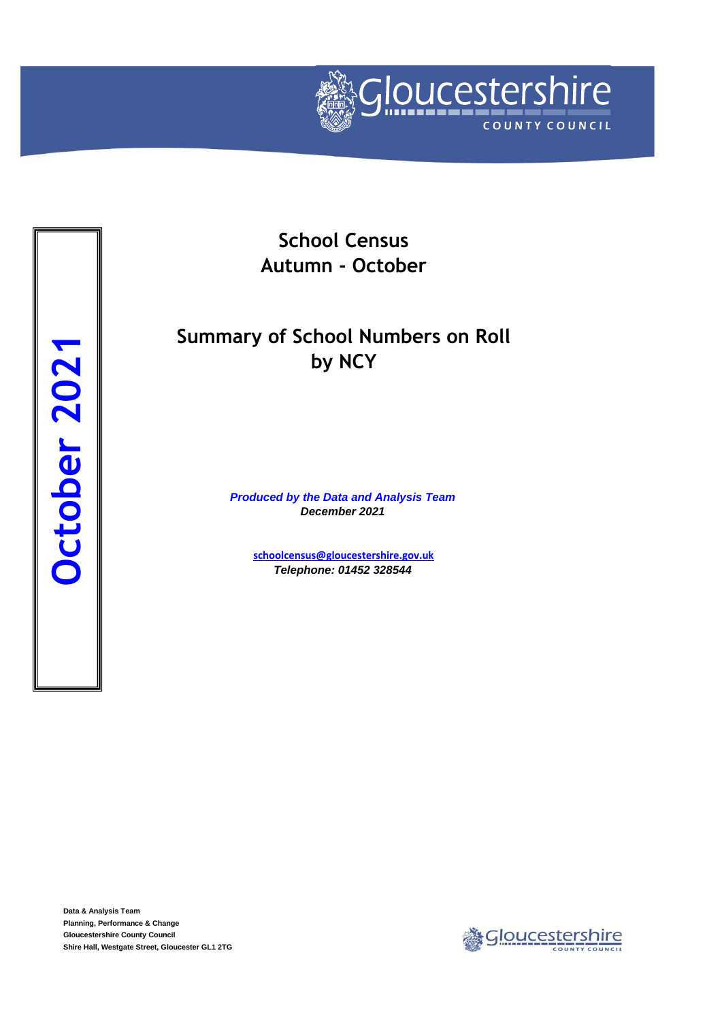

**School Census Autumn - October**

## **Summary of School Numbers on Roll by NCY**

*Produced by the Data and Analysis Team December 2021*

> **[schoolcensus@gloucestersh](mailto:schoolcensus@gloucestershire.gov.uk)ire.gov.uk** *Telephone: 01452 328544*

**Data & Analysis Team Planning, Performance & Change Gloucestershire County Council**

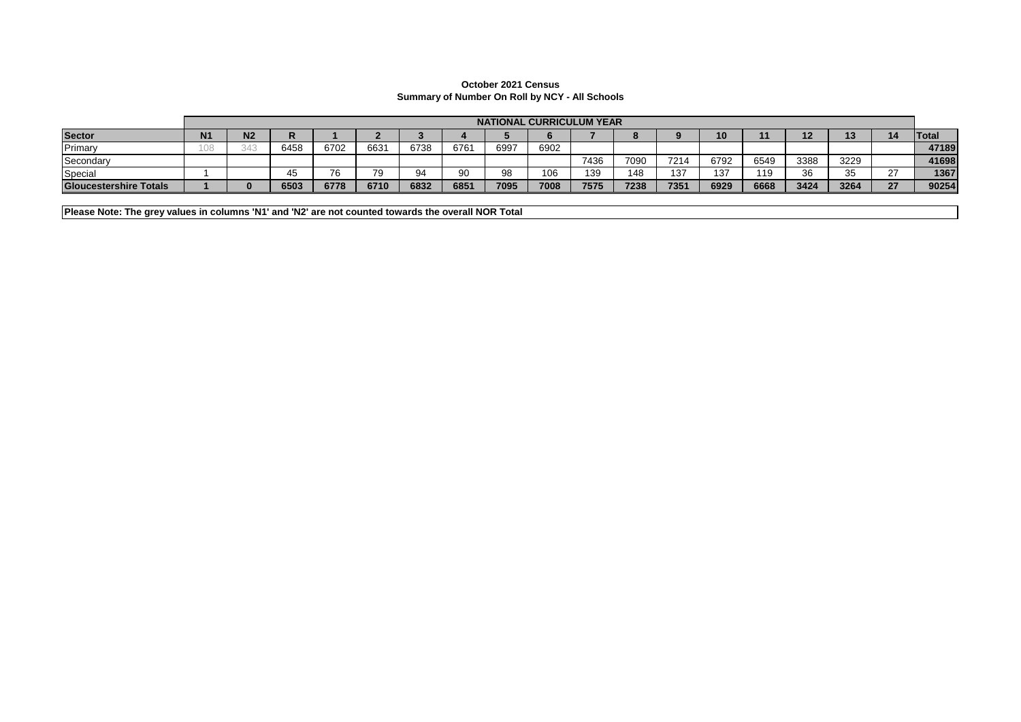## **October 2021 Census Summary of Number On Roll by NCY - All Schools**

|                               |           |    | <b>NATIONAL CURRICULUM YEAR</b> |                                 |      |      |      |      |      |      |      |      |      |      |      |          |        |       |
|-------------------------------|-----------|----|---------------------------------|---------------------------------|------|------|------|------|------|------|------|------|------|------|------|----------|--------|-------|
| <b>Sector</b>                 | <b>N1</b> | N2 |                                 |                                 |      |      |      |      |      |      |      |      |      |      | 12   | 12<br>ıэ | 14     | Total |
| Primary                       |           |    | 6458                            | 6702                            | 6631 | 6738 | 6761 | 6997 | 6902 |      |      |      |      |      |      |          |        | 47189 |
| Secondary                     |           |    |                                 |                                 |      |      |      |      |      | 7436 | 7090 | 7214 | 6792 | 6549 | 3388 | 3229     |        | 41698 |
| Special                       |           |    |                                 | $\overline{\phantom{a}}$<br>י ס | 79   |      | 90   | 98   | 106  | 139  | 148  | 137  | 137  | 119  | 36   | 35<br>⊽⊽ | $\sim$ | 1367  |
| <b>Gloucestershire Totals</b> |           |    | 6503                            | 6778                            | 6710 | 6832 | 6851 | 7095 | 7008 | 7575 | 7238 | 7351 | 6929 | 6668 | 3424 | 3264     | 27     | 90254 |

**Please Note: The grey values in columns 'N1' and 'N2' are not counted towards the overall NOR Total**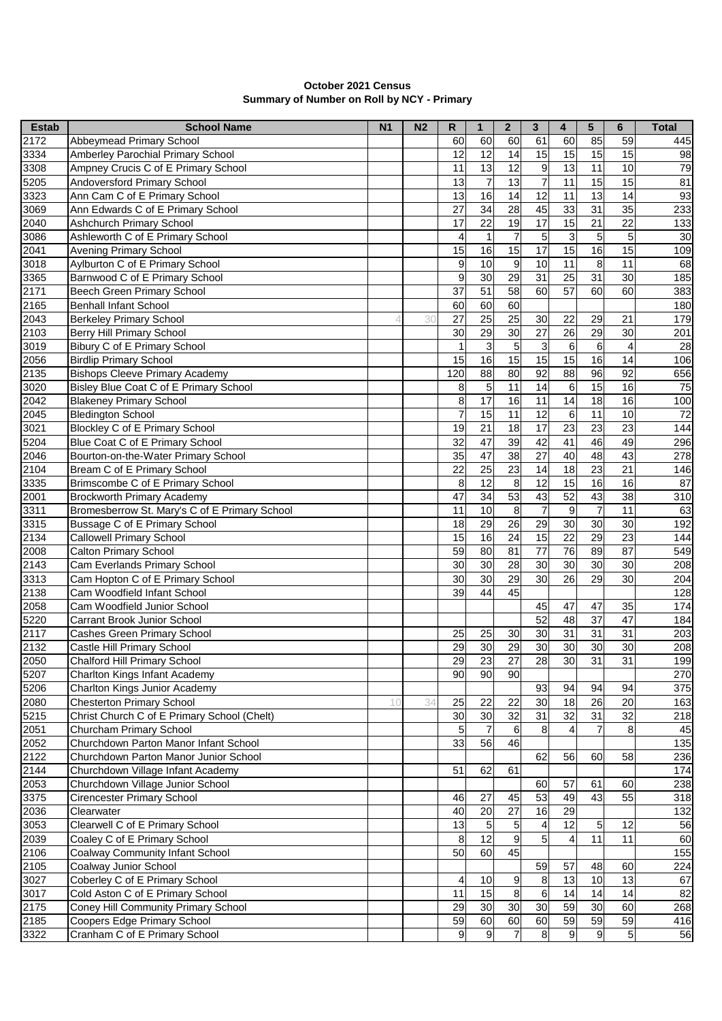| <b>October 2021 Census</b>                 |  |
|--------------------------------------------|--|
| Summary of Number on Roll by NCY - Primary |  |

| <b>Estab</b> | <b>School Name</b>                            | N <sub>1</sub> | N <sub>2</sub> | R              | $\mathbf{1}$    | $\mathbf{2}$     | 3                | 4               | 5                | 6               | <b>Total</b>     |
|--------------|-----------------------------------------------|----------------|----------------|----------------|-----------------|------------------|------------------|-----------------|------------------|-----------------|------------------|
| 2172         | Abbeymead Primary School                      |                |                | 60             | 60              | 60               | 61               | 60              | 85               | 59              | 445              |
| 3334         | Amberley Parochial Primary School             |                |                | 12             | 12              | 14               | 15               | 15              | 15               | 15              | 98               |
| 3308         | Ampney Crucis C of E Primary School           |                |                | 11             | 13              | $\overline{12}$  | $\boldsymbol{9}$ | $\overline{13}$ | 11               | 10              | 79               |
| 5205         | Andoversford Primary School                   |                |                | 13             | $\overline{7}$  | $\overline{13}$  | $\overline{7}$   | 11              | 15               | 15              | 81               |
| 3323         | Ann Cam C of E Primary School                 |                |                | 13             | 16              | 14               | $\overline{12}$  | 11              | 13               | 14              | 93               |
| 3069         | Ann Edwards C of E Primary School             |                |                | 27             | $\overline{34}$ | $\overline{28}$  | 45               | 33              | 31               | 35              | 233              |
| 2040         | Ashchurch Primary School                      |                |                | 17             | $\overline{22}$ | $\overline{19}$  | 17               | 15              | 21               | 22              | 133              |
| 3086         | Ashleworth C of E Primary School              |                |                | 4              | 1               | 7                | 5                | 3               | $\overline{5}$   | 5               | 30               |
| 2041         | <b>Avening Primary School</b>                 |                |                | 15             | 16              | 15               | 17               | 15              | 16               | 15              | 109              |
| 3018         | Aylburton C of E Primary School               |                |                | 9              | 10              | 9                | 10               | 11              | 8                | 11              | 68               |
| 3365         | Barnwood C of E Primary School                |                |                | 9              | $\overline{30}$ | 29               | $\overline{31}$  | $\overline{25}$ | 31               | 30              | 185              |
| 2171         | Beech Green Primary School                    |                |                | 37             | $\overline{51}$ | 58               | 60               | 57              | 60               | 60              | 383              |
| 2165         | <b>Benhall Infant School</b>                  |                |                | 60             | 60              | 60               |                  |                 |                  |                 | 180              |
| 2043         | <b>Berkeley Primary School</b>                |                | 30             | 27             | 25              | 25               | 30               | 22              | 29               | 21              | 179              |
| 2103         | Berry Hill Primary School                     |                |                | 30             | 29              | 30               | 27               | 26              | 29               | 30              | 201              |
| 3019         | Bibury C of E Primary School                  |                |                | 1              | 3               | 5                | 3                | 6               | 6                | $\overline{4}$  | 28               |
| 2056         | <b>Birdlip Primary School</b>                 |                |                | 15             | 16              | 15               | $\overline{15}$  | 15              | $\overline{16}$  | 14              | 106              |
| 2135         | <b>Bishops Cleeve Primary Academy</b>         |                |                | 120            | $\overline{88}$ | 80               | $\overline{92}$  | $\overline{88}$ | 96               | 92              | 656              |
| 3020         | Bisley Blue Coat C of E Primary School        |                |                | 8              | $\mathbf 5$     | $\overline{11}$  | 14               | 6               | 15               | 16              | 75               |
| 2042         | <b>Blakeney Primary School</b>                |                |                | 8              | 17              | 16               | $\overline{11}$  | $\overline{14}$ | $\frac{1}{8}$    | $\overline{16}$ | 100              |
| 2045         | <b>Bledington School</b>                      |                |                | $\overline{7}$ | 15              | 11               | $\overline{12}$  | 6               | 11               | 10              | 72               |
| 3021         | Blockley C of E Primary School                |                |                | 19             | $\overline{21}$ | $\overline{18}$  | $\overline{17}$  | $\overline{23}$ | 23               | 23              | 144              |
| 5204         | Blue Coat C of E Primary School               |                |                | 32             | 47              | 39               | 42               | 41              | 46               | 49              | 296              |
| 2046         | Bourton-on-the-Water Primary School           |                |                | 35             | $\overline{47}$ | 38               | 27               | 40              | 48               | 43              | $\overline{278}$ |
| 2104         | Bream C of E Primary School                   |                |                | 22             | 25              | 23               | 14               | 18              | 23               | 21              | 146              |
| 3335         | Brimscombe C of E Primary School              |                |                | 8              | 12              | 8                | 12               | 15              | 16               | 16              | 87               |
| 2001         | <b>Brockworth Primary Academy</b>             |                |                | 47             | 34              | 53               | 43               | 52              | 43               | 38              | 310              |
| 3311         | Bromesberrow St. Mary's C of E Primary School |                |                | 11             | 10              | 8                | $\overline{7}$   | 9               | $\overline{7}$   | $\overline{11}$ | 63               |
| 3315         | Bussage C of E Primary School                 |                |                | 18             | 29              | $\overline{26}$  | $\overline{29}$  | $\overline{30}$ | 30               | 30              | 192              |
| 2134         | <b>Callowell Primary School</b>               |                |                | 15             | 16              | $\overline{24}$  | 15               | $\overline{22}$ | 29               | 23              | 144              |
| 2008         | <b>Calton Primary School</b>                  |                |                | 59             | 80              | 81               | 77               | $\overline{76}$ | 89               | 87              | 549              |
| 2143         | Cam Everlands Primary School                  |                |                | 30             | 30              | $\overline{28}$  | 30               | 30              | 30               | 30              | 208              |
| 3313         | Cam Hopton C of E Primary School              |                |                | 30             | 30              | 29               | 30               | 26              | 29               | 30              | 204              |
| 2138         | Cam Woodfield Infant School                   |                |                | 39             | 44              | 45               |                  |                 |                  |                 | 128              |
| 2058         | Cam Woodfield Junior School                   |                |                |                |                 |                  | 45               | 47              | 47               | 35              | 174              |
| 5220         | Carrant Brook Junior School                   |                |                |                |                 |                  | 52               | 48              | 37               | 47              | 184              |
| 2117         | <b>Cashes Green Primary School</b>            |                |                | 25             | 25              | 30               | 30               | 31              | 31               | 31              | 203              |
| 2132         | Castle Hill Primary School                    |                |                | 29             | 30              | 29               | 30               | 30              | 30               | 30              | 208              |
| 2050         | Chalford Hill Primary School                  |                |                | 29             | 23              | $\overline{27}$  | 28               | 30              | 31               | 31              | 199              |
| 5207         | Charlton Kings Infant Academy                 |                |                | 90             | 90              | 90               |                  |                 |                  |                 | 270              |
| 5206         | Charlton Kings Junior Academy                 |                |                |                |                 |                  | 93               | 94              | 94               | 94              | 375              |
| 2080         | <b>Chesterton Primary School</b>              | 10             | 34             | 25             | 22              | 22               | 30               | $\overline{18}$ | 26               | 20              | 163              |
| 5215         | Christ Church C of E Primary School (Chelt)   |                |                | 30             | 30              | 32               | 31               | $\overline{32}$ | 31               | 32              | 218              |
| 2051         | Churcham Primary School                       |                |                | 5              | $\overline{7}$  | $6\phantom{1}$   | 8                | 4               | $\overline{7}$   | 8               | 45               |
| 2052         | Churchdown Parton Manor Infant School         |                |                | 33             | 56              | 46               |                  |                 |                  |                 | 135              |
| 2122         | Churchdown Parton Manor Junior School         |                |                |                |                 |                  | 62               | 56              | 60               | 58              | 236              |
| 2144         | Churchdown Village Infant Academy             |                |                | 51             | 62              | 61               |                  |                 |                  |                 | 174              |
| 2053         | Churchdown Village Junior School              |                |                |                |                 |                  | 60               | 57              | 61               | 60              | 238              |
| 3375         | <b>Cirencester Primary School</b>             |                |                | 46             | 27              | 45               | 53               | 49              | 43               | 55              | 318              |
| 2036         | Clearwater                                    |                |                | 40             | 20              | 27               | 16               | 29              |                  |                 | 132              |
| 3053         | Clearwell C of E Primary School               |                |                | 13             | $\mathbf 5$     | 5                | 4                | 12              | 5                | 12              | 56               |
| 2039         | Coaley C of E Primary School                  |                |                | 8              | $\overline{12}$ | $\boldsymbol{9}$ | 5                |                 | 11               | 11              | 60               |
| 2106         | <b>Coalway Community Infant School</b>        |                |                | 50             | 60              | 45               |                  |                 |                  |                 | 155              |
| 2105         | Coalway Junior School                         |                |                |                |                 |                  | 59               | 57              | 48               | 60              | 224              |
| 3027         | Coberley C of E Primary School                |                |                | 4              | 10              | 9                | $\bf 8$          | 13              | 10               | 13              | 67               |
| 3017         | Cold Aston C of E Primary School              |                |                | 11             | 15              | $\overline{8}$   | $\,6$            | 14              | 14               | 14              | 82               |
| 2175         | Coney Hill Community Primary School           |                |                | 29             | 30              | 30               | 30               | 59              | 30               | 60              | 268              |
| 2185         | Coopers Edge Primary School                   |                |                | 59             | 60              | 60               | 60               | 59              | 59               | 59              | 416              |
| 3322         | Cranham C of E Primary School                 |                |                | $\mathbf 9$    | $9$             | $\overline{7}$   | $\bf 8$          | 9               | $\boldsymbol{9}$ | $\overline{5}$  | 56               |
|              |                                               |                |                |                |                 |                  |                  |                 |                  |                 |                  |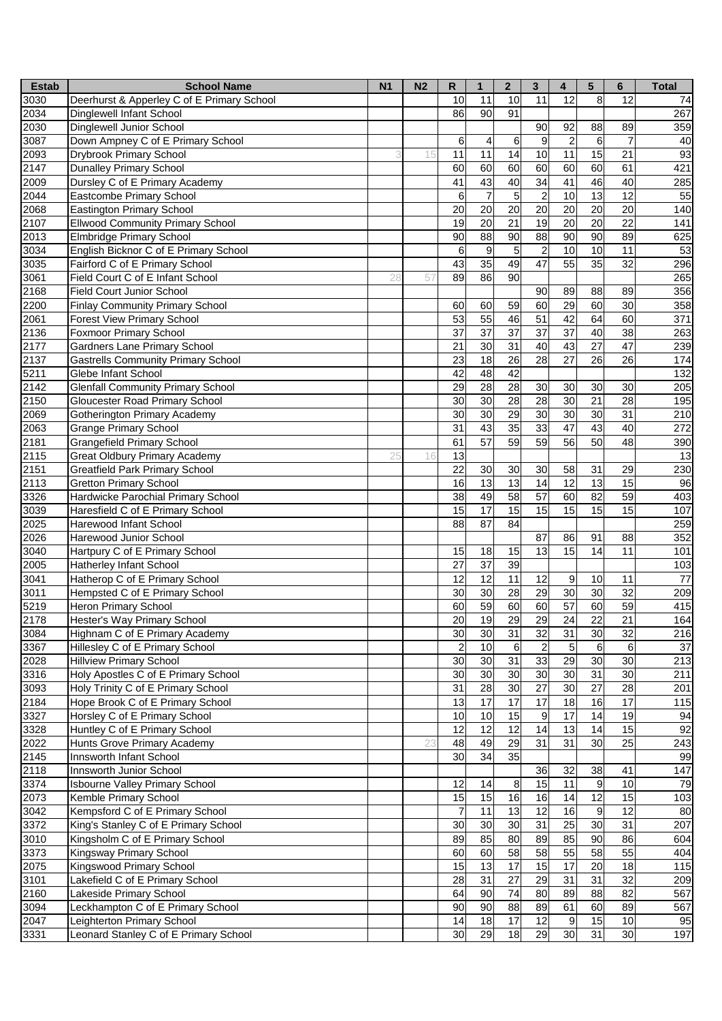| <b>Estab</b>    | <b>School Name</b>                         | N <sub>1</sub> | N <sub>2</sub> | R               | $\mathbf{1}$    | $\overline{\mathbf{2}}$ | $\mathbf{3}$     | 4               | 5               | $\bf 6$         | <b>Total</b> |
|-----------------|--------------------------------------------|----------------|----------------|-----------------|-----------------|-------------------------|------------------|-----------------|-----------------|-----------------|--------------|
| 3030            | Deerhurst & Apperley C of E Primary School |                |                | 10              | 11              | 10                      | 11               | 12              | 8               | 12              | 74           |
| 2034            | Dinglewell Infant School                   |                |                | 86              | $\overline{90}$ | 91                      |                  |                 |                 |                 | 267          |
| 2030            | Dinglewell Junior School                   |                |                |                 |                 |                         | 90               | 92              | 88              | 89              | 359          |
| 3087            | Down Ampney C of E Primary School          |                |                | 6               | $\overline{4}$  | 6                       | 9                | $\overline{2}$  | 6               | $\overline{7}$  | 40           |
| 2093            | <b>Drybrook Primary School</b>             |                | 15             | 11              | 11              | 14                      | 10               | 11              | 15              | 21              | 93           |
| 2147            | <b>Dunalley Primary School</b>             |                |                | 60              | 60              | 60                      | 60               | 60              | 60              | 61              | 421          |
| 2009            | Dursley C of E Primary Academy             |                |                | 41              | 43              | 40                      | 34               | 41              | 46              | 40              | 285          |
| 2044            | Eastcombe Primary School                   |                |                | 6               | $\overline{7}$  | 5                       | $\overline{c}$   | 10              | 13              | 12              | 55           |
| 2068            | Eastington Primary School                  |                |                | 20              | $\overline{20}$ | $\overline{20}$         | $\overline{20}$  | $\overline{20}$ | 20              | $\overline{20}$ | 140          |
| 2107            | <b>Ellwood Community Primary School</b>    |                |                | 19              | $\overline{20}$ | $\overline{21}$         | $\overline{19}$  | $\overline{20}$ | $\overline{20}$ | $\overline{22}$ | 141          |
| 2013            | <b>Elmbridge Primary School</b>            |                |                | 90              | 88              | 90                      | 88               | $\overline{90}$ | 90              | 89              | 625          |
| 3034            | English Bicknor C of E Primary School      |                |                | 6               | 9               | 5                       | $\overline{2}$   | 10              | 10              | 11              | 53           |
| 3035            | Fairford C of E Primary School             |                |                | 43              | $\overline{35}$ | 49                      | $\overline{47}$  | $\overline{55}$ | 35              | 32              | 296          |
| 3061            | Field Court C of E Infant School           | 28             | 57             | 89              | 86              | 90                      |                  |                 |                 |                 | 265          |
| 2168            | <b>Field Court Junior School</b>           |                |                |                 |                 |                         | 90               | 89              | 88              | 89              | 356          |
| 2200            | <b>Finlay Community Primary School</b>     |                |                | 60              | 60              | 59                      | 60               | 29              | 60              | 30              | 358          |
| 2061            | <b>Forest View Primary School</b>          |                |                | 53              | 55              | 46                      | 51               | 42              | 64              | 60              | 371          |
| 2136            | <b>Foxmoor Primary School</b>              |                |                | 37              | $\overline{37}$ | $\overline{37}$         | 37               | $\overline{37}$ | 40              | 38              | 263          |
| 2177            | <b>Gardners Lane Primary School</b>        |                |                | 21              | 30              | 31                      | 40               | 43              | 27              | 47              | 239          |
| 2137            | <b>Gastrells Community Primary School</b>  |                |                | 23              | $\overline{18}$ | $\overline{26}$         | $\overline{28}$  | $\overline{27}$ | 26              | 26              | 174          |
| 5211            | Glebe Infant School                        |                |                | $\overline{42}$ | 48              | 42                      |                  |                 |                 |                 | 132          |
| 2142            | <b>Glenfall Community Primary School</b>   |                |                | 29              | $\overline{28}$ | $\overline{28}$         | 30               | 30              | 30              | 30              | 205          |
| 2150            | Gloucester Road Primary School             |                |                | 30              | $\overline{30}$ | $\overline{28}$         | $\overline{28}$  | 30              | $\overline{21}$ | 28              | 195          |
| 2069            | Gotherington Primary Academy               |                |                | 30              | 30              | $\overline{29}$         | 30               | 30              | 30              | 31              | 210          |
| 2063            | <b>Grange Primary School</b>               |                |                | $\overline{31}$ | 43              | $\overline{35}$         | 33               | $\overline{47}$ | 43              | $\overline{40}$ | 272          |
| 2181            | <b>Grangefield Primary School</b>          |                |                | 61              | 57              | 59                      | $\overline{59}$  | 56              | 50              | 48              | 390          |
| 2115            | <b>Great Oldbury Primary Academy</b>       | 25             | 16             | 13              |                 |                         |                  |                 |                 |                 | 13           |
| 2151            | <b>Greatfield Park Primary School</b>      |                |                | 22              | 30              | 30                      | 30               | 58              | 31              | 29              | 230          |
| 2113            | <b>Gretton Primary School</b>              |                |                | 16              | 13              | 13                      | 14               | 12              | 13              | 15              | 96           |
| 3326            | Hardwicke Parochial Primary School         |                |                | 38              | 49              | 58                      | 57               | 60              | 82              | 59              |              |
| 3039            | Haresfield C of E Primary School           |                |                | 15              | 17              | 15                      | 15               | 15              | 15              | 15              | 403<br>107   |
| 2025            | Harewood Infant School                     |                |                | 88              | 87              | 84                      |                  |                 |                 |                 | 259          |
| 2026            | Harewood Junior School                     |                |                |                 |                 |                         | 87               | 86              | 91              | 88              | 352          |
| 3040            | Hartpury C of E Primary School             |                |                | 15              | 18              | 15                      | 13               | 15              | 14              | 11              | 101          |
| 2005            | <b>Hatherley Infant School</b>             |                |                | $\overline{27}$ | $\overline{37}$ | 39                      |                  |                 |                 |                 | 103          |
| 3041            | Hatherop C of E Primary School             |                |                | 12              | $\overline{12}$ | $\overline{11}$         | 12               | 9               | 10              | 11              | 77           |
| $\frac{1}{301}$ | Hempsted C of E Primary School             |                |                | 30              | 30              | 28                      | $\overline{29}$  | 30              | 30              | 32              | 209          |
| 5219            | <b>Heron Primary School</b>                |                |                | 60              | 59              | 60                      | 60               | $\overline{57}$ | 60              | 59              | 415          |
|                 |                                            |                |                | 20              | 19              | $\overline{29}$         | $\overline{29}$  | 24              | 22              | 21              |              |
| 2178            | Hester's Way Primary School                |                |                |                 |                 |                         |                  |                 |                 |                 | 164          |
| 3084            | Highnam C of E Primary Academy             |                |                | 30              | 30              | 31                      | 32               | 31<br>5         | 30              | 32              | 216          |
| 3367            | Hillesley C of E Primary School            |                |                | $\overline{c}$  | 10              | 6                       | $\overline{c}$   |                 | $\,6$           | 6               | 37           |
| 2028            | <b>Hillview Primary School</b>             |                |                | 30              | 30              | 31                      | 33               | 29              | 30              | 30              | 213          |
| 3316            | Holy Apostles C of E Primary School        |                |                | 30              | 30              | 30<br>30                | 30               | 30              | 31              | 30              | 211          |
| 3093            | Holy Trinity C of E Primary School         |                |                | 31              | 28              | 17                      | $\overline{27}$  | 30              | 27              | 28              | 201          |
| 2184            | Hope Brook C of E Primary School           |                |                | 13              | 17              |                         | $\overline{17}$  | $\overline{18}$ | 16              | 17              | 115          |
| 3327            | Horsley C of E Primary School              |                |                | 10              | $\overline{10}$ | 15                      | $\boldsymbol{9}$ | $\overline{17}$ | 14              | 19              | 94           |
| 3328            | Huntley C of E Primary School              |                |                | 12              | $\overline{12}$ | 12                      | 14               | 13              | 14              | 15              | 92           |
| 2022            | Hunts Grove Primary Academy                |                | 23             | 48              | 49              | 29                      | 31               | 31              | 30              | 25              | 243          |
| 2145            | Innsworth Infant School                    |                |                | 30              | 34              | 35                      |                  |                 |                 |                 | 99           |
| 2118            | Innsworth Junior School                    |                |                |                 |                 |                         | 36               | 32              | 38              | 41              | 147          |
| 3374            | <b>Isbourne Valley Primary School</b>      |                |                | 12              | 14              | 8                       | 15               | 11              | $\overline{9}$  | 10              | 79           |
| 2073            | Kemble Primary School                      |                |                | 15              | 15              | $\overline{16}$         | 16               | 14              | $\overline{12}$ | 15              | 103          |
| 3042            | Kempsford C of E Primary School            |                |                |                 | 11              | 13                      | 12               | 16              | 9               | 12              | 80           |
| 3372            | King's Stanley C of E Primary School       |                |                | 30              | 30              | 30                      | 31               | 25              | 30              | 31              | 207          |
| 3010            | Kingsholm C of E Primary School            |                |                | 89              | 85              | 80                      | 89               | 85              | 90              | 86              | 604          |
| 3373            | Kingsway Primary School                    |                |                | 60              | 60              | 58                      | 58               | 55              | 58              | 55              | 404          |
| 2075            | Kingswood Primary School                   |                |                | 15              | 13              | 17                      | 15               | 17              | 20              | 18              | 115          |
| 3101            | Lakefield C of E Primary School            |                |                | 28              | 31              | 27                      | 29               | 31              | 31              | 32              | 209          |
| 2160            | Lakeside Primary School                    |                |                | 64              | $\overline{90}$ | 74                      | 80               | 89              | 88              | 82              | 567          |
| 3094            | Leckhampton C of E Primary School          |                |                | 90              | $\overline{90}$ | $\overline{88}$         | 89               | 61              | 60              | 89              | 567          |
| 2047            | Leighterton Primary School                 |                |                | 14              | 18              | 17                      | 12               | 9               | 15              | 10              | 95           |
| 3331            | Leonard Stanley C of E Primary School      |                |                | 30              | 29              | 18                      | 29               | 30              | 31              | 30              | 197          |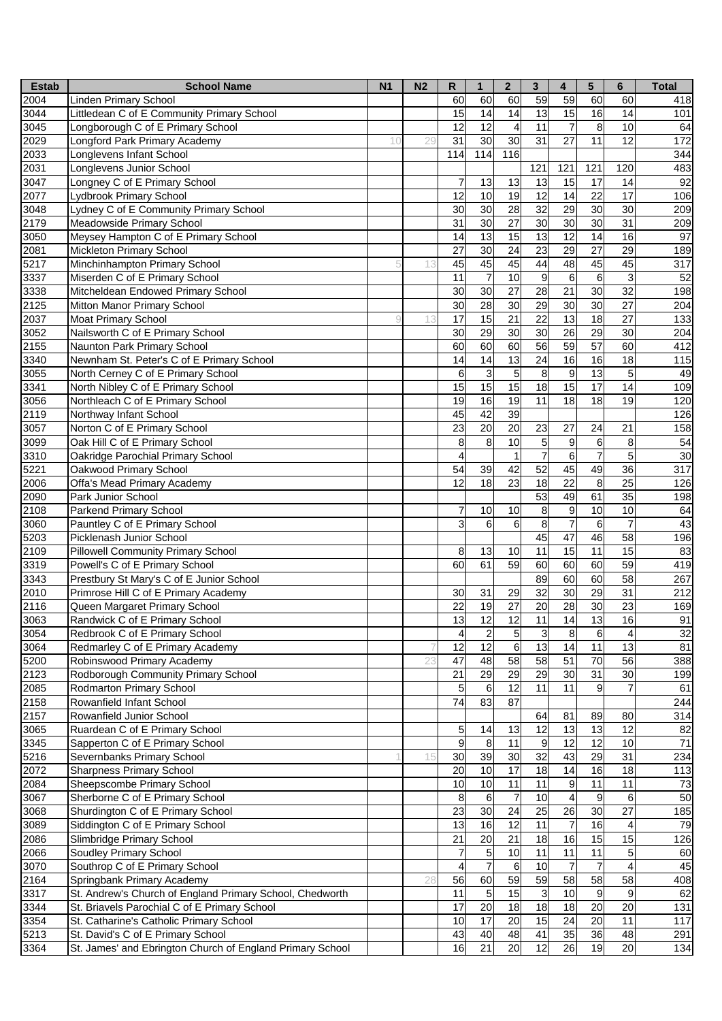| <b>Estab</b> | <b>School Name</b>                                        | N <sub>1</sub> | N <sub>2</sub> | $\mathsf{R}$            | $\mathbf{1}$              | $\overline{\mathbf{2}}$ | $\mathbf{3}$     | 4               | 5                | 6               | <b>Total</b> |
|--------------|-----------------------------------------------------------|----------------|----------------|-------------------------|---------------------------|-------------------------|------------------|-----------------|------------------|-----------------|--------------|
| 2004         | <b>Linden Primary School</b>                              |                |                | 60                      | 60                        | 60                      | 59               | 59              | 60               | 60              | 418          |
| 3044         | Littledean C of E Community Primary School                |                |                | 15                      | 14                        | 14                      | 13               | 15              | 16               | 14              | 101          |
| 3045         | Longborough C of E Primary School                         |                |                | 12                      | 12                        | $\overline{4}$          | 11               | $\overline{7}$  | 8                | 10              | 64           |
| 2029         | Longford Park Primary Academy                             | 10             | 29             | 31                      | $\overline{30}$           | $\overline{30}$         | 31               | 27              | 11               | 12              | 172          |
| 2033         | Longlevens Infant School                                  |                |                | 114                     | 114                       | 116                     |                  |                 |                  |                 | 344          |
| 2031         | Longlevens Junior School                                  |                |                |                         |                           |                         | 121              | 121             | 121              | 120             | 483          |
| 3047         | Longney C of E Primary School                             |                |                | 7                       | 13                        | 13                      | 13               | 15              | 17               | 14              | 92           |
| 2077         | Lydbrook Primary School                                   |                |                | 12                      | 10                        | 19                      | 12               | 14              | 22               | 17              | 106          |
| 3048         | Lydney C of E Community Primary School                    |                |                | $\overline{30}$         | 30                        | 28                      | $\overline{32}$  | 29              | 30               | 30              | 209          |
| 2179         | Meadowside Primary School                                 |                |                | $\overline{31}$         | 30                        | $\overline{27}$         | $\overline{30}$  | 30              | 30               | $\overline{31}$ | 209          |
| 3050         | Meysey Hampton C of E Primary School                      |                |                | 14                      | 13                        | 15                      | $\overline{13}$  | $\overline{12}$ | 14               | 16              | 97           |
| 2081         |                                                           |                |                | 27                      | 30                        | $\overline{24}$         | $\overline{23}$  | $\overline{29}$ | 27               | 29              |              |
|              | <b>Mickleton Primary School</b>                           |                |                |                         |                           |                         |                  |                 |                  |                 | 189          |
| 5217         | Minchinhampton Primary School                             |                | 13             | 45                      | 45                        | 45                      | 44               | 48              | 45               | 45              | 317          |
| 3337         | Miserden C of E Primary School                            |                |                | 11                      | $\overline{7}$            | 10                      | $\boldsymbol{9}$ | $6\phantom{1}6$ | 6                | 3               | 52           |
| 3338         | Mitcheldean Endowed Primary School                        |                |                | 30                      | 30                        | $\overline{27}$         | 28               | 21              | 30               | 32              | 198          |
| 2125         | Mitton Manor Primary School                               |                |                | 30                      | 28                        | 30                      | 29               | 30              | 30               | 27              | 204          |
| 2037         | <b>Moat Primary School</b>                                |                |                | 17                      | 15                        | $\overline{21}$         | $\overline{22}$  | 13              | 18               | 27              | 133          |
| 3052         | Nailsworth C of E Primary School                          |                |                | 30                      | 29                        | 30                      | 30               | $\overline{26}$ | 29               | 30              | 204          |
| 2155         | Naunton Park Primary School                               |                |                | 60                      | 60                        | 60                      | 56               | 59              | 57               | 60              | 412          |
| 3340         | Newnham St. Peter's C of E Primary School                 |                |                | 14                      | $\overline{14}$           | $\overline{13}$         | 24               | 16              | 16               | 18              | 115          |
| 3055         | North Cerney C of E Primary School                        |                |                | 6                       | $\ensuremath{\mathsf{3}}$ | 5                       | 8                | 9               | 13               | 5               | 49           |
| 3341         | North Nibley C of E Primary School                        |                |                | 15                      | 15                        | 15                      | $\frac{1}{8}$    | 15              | 17               | 14              | 109          |
| 3056         | Northleach C of E Primary School                          |                |                | 19                      | 16                        | 19                      | 11               | 18              | 18               | 19              | 120          |
| 2119         | Northway Infant School                                    |                |                | 45                      | 42                        | 39                      |                  |                 |                  |                 | 126          |
| 3057         | Norton C of E Primary School                              |                |                | $\overline{23}$         | 20                        | $\overline{20}$         | 23               | 27              | 24               | 21              | 158          |
| 3099         | Oak Hill C of E Primary School                            |                |                | 8                       | 8                         | 10                      | 5                | 9               | $\,6$            | 8               | 54           |
| 3310         | Oakridge Parochial Primary School                         |                |                | 4                       |                           | $\mathbf{1}$            | $\overline{7}$   | 6               | $\overline{7}$   | 5               | 30           |
| 5221         | Oakwood Primary School                                    |                |                | 54                      | 39                        | 42                      | 52               | 45              | 49               | 36              | 317          |
| 2006         | Offa's Mead Primary Academy                               |                |                | 12                      | 18                        | 23                      | 18               | 22              | 8                | 25              | 126          |
| 2090         | Park Junior School                                        |                |                |                         |                           |                         | 53               | 49              | 61               | 35              | 198          |
| 2108         | Parkend Primary School                                    |                |                | 7                       | 10                        | 10                      | 8                | 9               | 10               | 10              | 64           |
| 3060         | Pauntley C of E Primary School                            |                |                | 3                       | $\,6$                     | 6                       | $\overline{8}$   | $\overline{7}$  | $6\phantom{1}6$  | $\overline{7}$  | 43           |
| 5203         | Picklenash Junior School                                  |                |                |                         |                           |                         | 45               | $\overline{47}$ | 46               | 58              | 196          |
| 2109         | <b>Pillowell Community Primary School</b>                 |                |                | 8                       | 13                        | 10                      | $\overline{11}$  | 15              | 11               | 15              | 83           |
| 3319         | Powell's C of E Primary School                            |                |                | 60                      | 61                        | 59                      | 60               | 60              | 60               | 59              | 419          |
| 3343         | Prestbury St Mary's C of E Junior School                  |                |                |                         |                           |                         | 89               | 60              | 60               | 58              | 267          |
| 2010         | Primrose Hill C of E Primary Academy                      |                |                | 30                      | 31                        | 29                      | 32               | 30              | 29               | $\overline{31}$ | 212          |
| 2116         | Queen Margaret Primary School                             |                |                | 22                      | 19                        | $\overline{27}$         | 20               | 28              | 30               | 23              | 169          |
|              |                                                           |                |                | 13                      | 12                        | $\overline{12}$         | 11               | 14              | 13               | 16              | 91           |
| 3063         | Randwick C of E Primary School                            |                |                |                         |                           |                         |                  |                 |                  |                 |              |
| 3054         | Redbrook C of E Primary School                            |                |                | $\overline{\mathbf{4}}$ | $\overline{c}$            | 5                       | $\mathbf{3}$     | $\,8\,$         | $\,6$            | $\overline{4}$  | 32           |
| 3064         | Redmarley C of E Primary Academy                          |                |                | 12                      | $\overline{12}$           | 6                       | 13               | 14              | 11               | 13              | 81           |
| 5200         | Robinswood Primary Academy                                |                | 23             | 47                      | 48                        | 58                      | $\overline{58}$  | 51              | 70               | 56              | 388          |
| 2123         | Rodborough Community Primary School                       |                |                | 21                      | 29                        | 29                      | $\overline{29}$  | 30              | 31               | 30              | 199          |
| 2085         | Rodmarton Primary School                                  |                |                | 5                       | 6                         | $\overline{12}$         | 11               | 11              | $\boldsymbol{9}$ |                 | 61           |
| 2158         | Rowanfield Infant School                                  |                |                | $\overline{74}$         | 83                        | 87                      |                  |                 |                  |                 | 244          |
| 2157         | Rowanfield Junior School                                  |                |                |                         |                           |                         | 64               | 81              | 89               | 80              | 314          |
| 3065         | Ruardean C of E Primary School                            |                |                | 5                       | 14                        | 13                      | 12               | 13              | 13               | 12              | 82           |
| 3345         | Sapperton C of E Primary School                           |                |                | 9                       | 8                         | 11                      | 9                | 12              | 12               | 10              | 71           |
| 5216         | Severnbanks Primary School                                |                |                | 30                      | 39                        | 30                      | $\overline{32}$  | 43              | 29               | 31              | 234          |
| 2072         | <b>Sharpness Primary School</b>                           |                |                | 20                      | $\overline{10}$           | $\overline{17}$         | 18               | 14              | 16               | 18              | 113          |
| 2084         | Sheepscombe Primary School                                |                |                | 10                      | 10                        | 11                      | 11               | 9               | 11               | 11              | 73           |
| 3067         | Sherborne C of E Primary School                           |                |                | 8                       | 6                         | 7                       | 10               | 4               | 9                | 6               | 50           |
| 3068         | Shurdington C of E Primary School                         |                |                | 23                      | 30                        | 24                      | 25               | 26              | 30               | 27              | 185          |
| 3089         | Siddington C of E Primary School                          |                |                | 13                      | 16                        | 12                      | 11               | $\overline{7}$  | 16               |                 | 79           |
| 2086         | Slimbridge Primary School                                 |                |                | 21                      | $\overline{20}$           | $\overline{21}$         | 18               | 16              | 15               | 15              | 126          |
| 2066         | Soudley Primary School                                    |                |                | 7                       | $\overline{5}$            | 10                      | 11               | 11              | 11               | 5               | 60           |
| 3070         | Southrop C of E Primary School                            |                |                | 4                       | $\overline{7}$            | 6                       | 10               | $\overline{7}$  | $\overline{7}$   | $\overline{4}$  | 45           |
| 2164         | Springbank Primary Academy                                |                | 28             | 56                      | 60                        | 59                      | 59               | 58              | 58               | 58              | 408          |
| 3317         | St. Andrew's Church of England Primary School, Chedworth  |                |                | 11                      | $\sqrt{5}$                | 15                      | $\mathsf 3$      | $\overline{10}$ | 9                | 9               | 62           |
| 3344         | St. Briavels Parochial C of E Primary School              |                |                | $\overline{17}$         | $\overline{20}$           | 18                      | $\overline{18}$  | $\overline{18}$ | $\overline{20}$  | 20              | 131          |
| 3354         | St. Catharine's Catholic Primary School                   |                |                | 10                      | $\overline{17}$           | $\overline{20}$         | $\overline{15}$  | $\overline{24}$ | 20               | 11              | 117          |
| 5213         | St. David's C of E Primary School                         |                |                | 43                      | 40                        | 48                      | 41               | 35              | 36               | 48              | 291          |
| 3364         | St. James' and Ebrington Church of England Primary School |                |                | 16                      | 21                        | 20                      | 12               | 26              | 19               | 20              | 134          |
|              |                                                           |                |                |                         |                           |                         |                  |                 |                  |                 |              |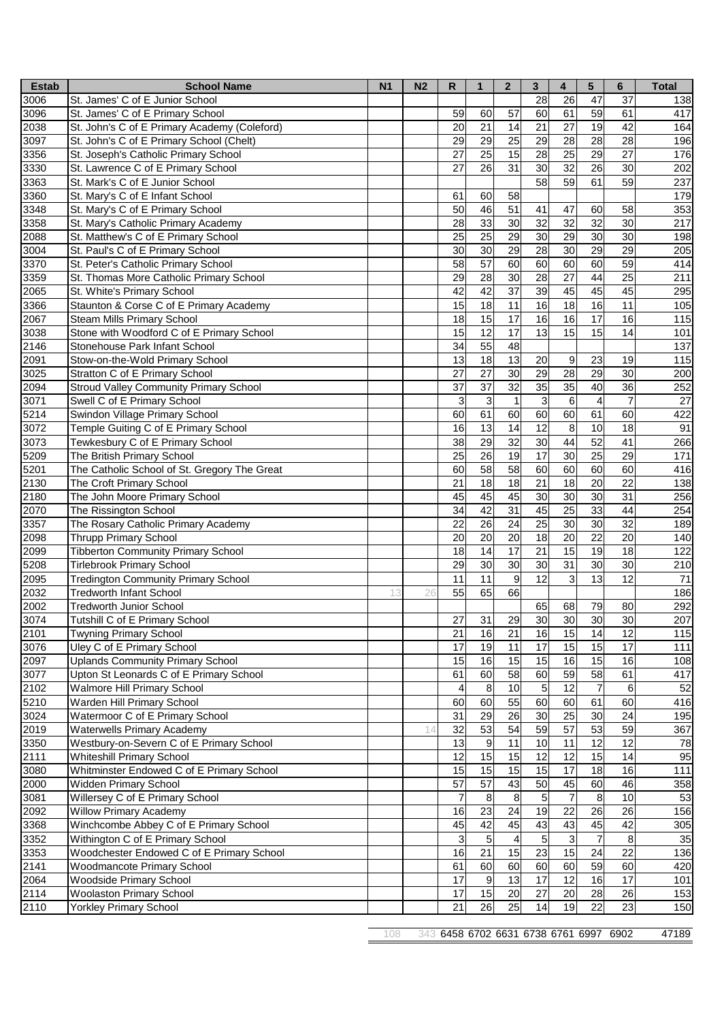| <b>Estab</b> | <b>School Name</b>                            | N <sub>1</sub> | N <sub>2</sub> | $\mathsf{R}$    | $\mathbf{1}$     | $\mathbf{2}$            | $\overline{3}$  | 4               | 5                       | $6\phantom{1}$  | <b>Total</b> |
|--------------|-----------------------------------------------|----------------|----------------|-----------------|------------------|-------------------------|-----------------|-----------------|-------------------------|-----------------|--------------|
| 3006         | St. James' C of E Junior School               |                |                |                 |                  |                         | 28              | 26              | 47                      | 37              | 138          |
| 3096         | St. James' C of E Primary School              |                |                | 59              | 60               | $\overline{57}$         | 60              | 61              | 59                      | 61              | 417          |
| 2038         | St. John's C of E Primary Academy (Coleford)  |                |                | 20              | 21               | $\overline{14}$         | 21              | 27              | 19                      | 42              | 164          |
| 3097         | St. John's C of E Primary School (Chelt)      |                |                | 29              | 29               | $\overline{25}$         | 29              | 28              | 28                      | 28              | 196          |
| 3356         | St. Joseph's Catholic Primary School          |                |                | 27              | 25               | 15                      | 28              | 25              | 29                      | 27              | 176          |
| 3330         | St. Lawrence C of E Primary School            |                |                | 27              | 26               | 31                      | 30              | 32              | 26                      | 30              | 202          |
| 3363         | St. Mark's C of E Junior School               |                |                |                 |                  |                         | 58              | 59              | 61                      | 59              | 237          |
| 3360         | St. Mary's C of E Infant School               |                |                | 61              | 60               | 58                      |                 |                 |                         |                 | 179          |
| 3348         | St. Mary's C of E Primary School              |                |                | 50              | 46               | $\overline{51}$         | 41              | 47              | 60                      | 58              | 353          |
| 3358         | St. Mary's Catholic Primary Academy           |                |                | 28              | 33               | 30                      | $\overline{32}$ | 32              | 32                      | 30              | 217          |
| 2088         | St. Matthew's C of E Primary School           |                |                | 25              | $\overline{25}$  | $\overline{29}$         | 30              | 29              | 30                      | 30              | 198          |
| 3004         | St. Paul's C of E Primary School              |                |                | 30              | 30               | 29                      | 28              | 30              | 29                      | 29              | 205          |
| 3370         | St. Peter's Catholic Primary School           |                |                | 58              | 57               | 60                      | 60              | 60              | 60                      | 59              | 414          |
| 3359         | St. Thomas More Catholic Primary School       |                |                | 29              | 28               | 30                      | 28              | 27              | 44                      | 25              | 211          |
| 2065         | St. White's Primary School                    |                |                | $\overline{42}$ | 42               | $\overline{37}$         | 39              | 45              | 45                      | 45              | 295          |
| 3366         | Staunton & Corse C of E Primary Academy       |                |                | 15              | 18               | 11                      | 16              | 18              | 16                      | 11              | 105          |
| 2067         | Steam Mills Primary School                    |                |                | 18              | 15               | 17                      | 16              | 16              | 17                      | 16              | 115          |
| 3038         | Stone with Woodford C of E Primary School     |                |                | 15              | 12               | 17                      | 13              | 15              | 15                      | 14              | 101          |
| 2146         | Stonehouse Park Infant School                 |                |                | 34              | 55               | 48                      |                 |                 |                         |                 | 137          |
| 2091         | Stow-on-the-Wold Primary School               |                |                | 13              | $\overline{18}$  | 13                      | 20              | 9               | 23                      | 19              | 115          |
| 3025         | Stratton C of E Primary School                |                |                | 27              | $\overline{27}$  | 30                      | $\overline{29}$ | 28              | $\overline{29}$         | 30              | 200          |
| 2094         | <b>Stroud Valley Community Primary School</b> |                |                | $\overline{37}$ | $\overline{37}$  | $\overline{32}$         | $\overline{35}$ | 35              | 40                      | 36              | 252          |
| 3071         | Swell C of E Primary School                   |                |                | 3               | $\mathbf{3}$     | $\mathbf{1}$            | 3               | $6\phantom{.}6$ | $\overline{\mathbf{4}}$ | $\overline{7}$  | 27           |
| 5214         | Swindon Village Primary School                |                |                | 60              | 61               | 60                      | 60              | 60              | 61                      | 60              | 422          |
| 3072         | Temple Guiting C of E Primary School          |                |                | 16              | $\overline{13}$  | $\overline{14}$         | $\overline{12}$ | 8               | 10                      | 18              | 91           |
| 3073         | Tewkesbury C of E Primary School              |                |                | $\overline{38}$ | 29               | 32                      | $\overline{30}$ | 44              | 52                      | 41              | 266          |
| 5209         | The British Primary School                    |                |                | 25              | $\overline{26}$  | $\overline{19}$         | $\overline{17}$ | 30              | 25                      | 29              | 171          |
| 5201         | The Catholic School of St. Gregory The Great  |                |                | 60              | 58               | 58                      | 60              | 60              | 60                      | 60              | 416          |
| 2130         | The Croft Primary School                      |                |                | 21              | 18               | 18                      | 21              | 18              | 20                      | 22              | 138          |
| 2180         | The John Moore Primary School                 |                |                | 45              | 45               | 45                      | 30              | 30              | 30                      | 31              | 256          |
| 2070         | The Rissington School                         |                |                | 34              | 42               | 31                      | 45              | 25              | 33                      | 44              | 254          |
| 3357         | The Rosary Catholic Primary Academy           |                |                | $\overline{22}$ | $\overline{26}$  | $\overline{24}$         | 25              | 30              | 30                      | 32              | 189          |
| 2098         | Thrupp Primary School                         |                |                | $\overline{20}$ | $\overline{20}$  | $\overline{20}$         | 18              | $\overline{20}$ | 22                      | $\overline{20}$ | 140          |
| 2099         | <b>Tibberton Community Primary School</b>     |                |                | $\overline{18}$ | 14               | 17                      | $\overline{21}$ | 15              | 19                      | 18              | 122          |
| 5208         | <b>Tirlebrook Primary School</b>              |                |                | 29              | 30               | 30                      | 30              | 31              | 30                      | 30              | 210          |
| 2095         | <b>Tredington Community Primary School</b>    |                |                | 11              | $\overline{11}$  | 9                       | $\overline{12}$ | $\overline{3}$  | 13                      | 12              | 71           |
| 2032         | <b>Tredworth Infant School</b>                | 13             | 26             | 55              | 65               | 66                      |                 |                 |                         |                 | 186          |
| 2002         | <b>Tredworth Junior School</b>                |                |                |                 |                  |                         | 65              | 68              | 79                      | 80              | 292          |
| 3074         | Tutshill C of E Primary School                |                |                | 27              | 31               | 29                      | 30              | 30              | 30                      | 30              | 207          |
| 2101         | <b>Twyning Primary School</b>                 |                |                | 21              | 16               | 21                      | 16              | 15              | 14                      | 12              | 115          |
| 3076         | Uley C of E Primary School                    |                |                | 17              | 19               | 11                      | 17              | 15              | 15                      | 17              | 111          |
| 2097         | <b>Uplands Community Primary School</b>       |                |                | 15              | 16               | $\overline{15}$         | 15              | 16              | 15                      | 16              | 108          |
| 3077         | Upton St Leonards C of E Primary School       |                |                | 61              | 60               | 58                      | 60              | 59              | 58                      | 61              | 417          |
| 2102         | <b>Walmore Hill Primary School</b>            |                |                | 4               | $\overline{8}$   | 10                      | $\overline{5}$  | $\overline{12}$ | $\overline{7}$          | $\,6$           | 52           |
| 5210         | Warden Hill Primary School                    |                |                | 60              | 60               | 55                      | 60              | 60              | 61                      | 60              | 416          |
| 3024         | Watermoor C of E Primary School               |                |                | 31              | 29               | 26                      | $\overline{30}$ | 25              | 30                      | 24              | 195          |
| 2019         | <b>Waterwells Primary Academy</b>             |                |                | 32              | 53               | 54                      | 59              | $\overline{57}$ | 53                      | 59              | 367          |
| 3350         | Westbury-on-Severn C of E Primary School      |                |                | 13              | $\boldsymbol{9}$ | 11                      | 10              | 11              | 12                      | 12              | 78           |
| 2111         | <b>Whiteshill Primary School</b>              |                |                | 12              | 15               | $\overline{15}$         | $\overline{12}$ | $\overline{12}$ | 15                      | $\overline{14}$ | 95           |
| 3080         | Whitminster Endowed C of E Primary School     |                |                | 15              | 15               | $\overline{15}$         | 15              | $\overline{17}$ | 18                      | 16              | 111          |
| 2000         | Widden Primary School                         |                |                | $\overline{57}$ | 57               | 43                      | 50              | 45              | 60                      | 46              | 358          |
| 3081         | Willersey C of E Primary School               |                |                | $\overline{7}$  | 8                | $\bf8$                  | 5               | $\overline{7}$  | 8                       | 10              | 53           |
| 2092         | <b>Willow Primary Academy</b>                 |                |                | 16              | 23               | 24                      | 19              | 22              | 26                      | 26              | 156          |
| 3368         | Winchcombe Abbey C of E Primary School        |                |                | 45              | 42               | 45                      | 43              | 43              | 45                      | 42              | 305          |
| 3352         | Withington C of E Primary School              |                |                | 3               | 5                | $\overline{\mathbf{4}}$ | $\overline{5}$  | دى              | $\overline{7}$          | 8               | 35           |
| 3353         | Woodchester Endowed C of E Primary School     |                |                | 16              | 21               | 15                      | 23              | 15              | 24                      | 22              | 136          |
| 2141         | Woodmancote Primary School                    |                |                | 61              | 60               | 60                      | 60              | 60              | 59                      | 60              | 420          |
| 2064         | Woodside Primary School                       |                |                | $\overline{17}$ | G)               | $\overline{3}$          | $\overline{17}$ | 12              | 16                      | $\overline{17}$ | 101          |
| 2114         | <b>Woolaston Primary School</b>               |                |                | $\overline{17}$ | 15               | 20                      | $\overline{27}$ | $\overline{20}$ | 28                      | 26              | 153          |
| 2110         | <b>Yorkley Primary School</b>                 |                |                | 21              | 26               | 25                      | 14              | 19              | 22                      | 23              | 150          |
|              |                                               |                |                |                 |                  |                         |                 |                 |                         |                 |              |

343 6458 6702 6631 6738 6761 6997 6902 47189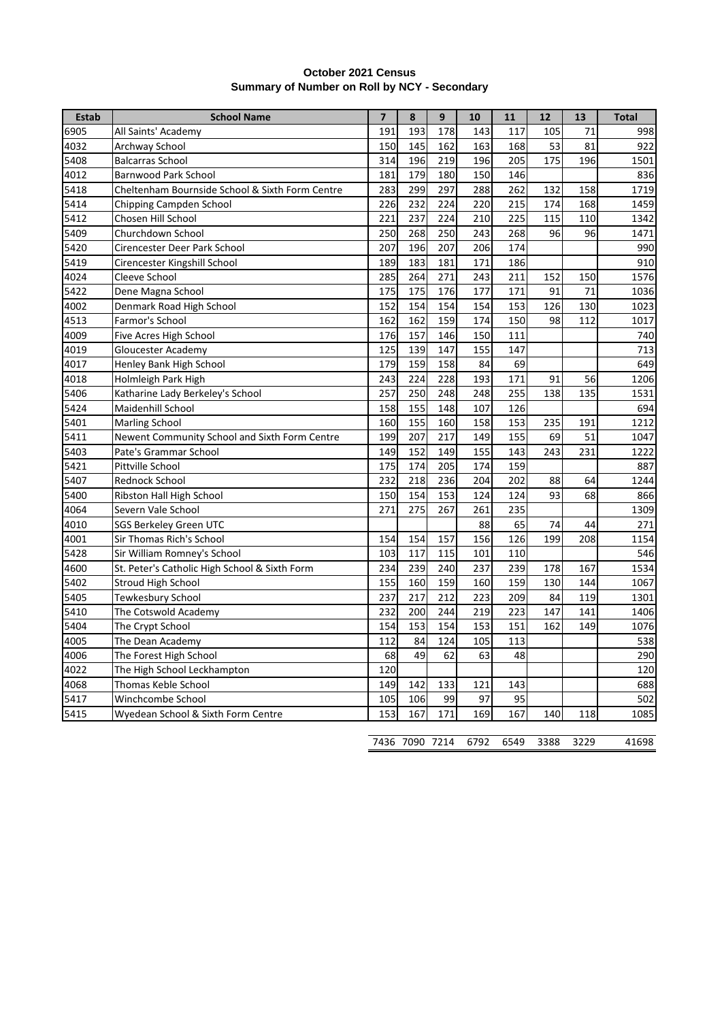| <b>October 2021 Census</b>                   |  |
|----------------------------------------------|--|
| Summary of Number on Roll by NCY - Secondary |  |

| <b>Estab</b> | <b>School Name</b>                              | $\overline{7}$ | 8   | 9   | 10  | 11  | 12  | 13  | <b>Total</b> |
|--------------|-------------------------------------------------|----------------|-----|-----|-----|-----|-----|-----|--------------|
| 6905         | All Saints' Academy                             | 191            | 193 | 178 | 143 | 117 | 105 | 71  | 998          |
| 4032         | Archway School                                  | 150            | 145 | 162 | 163 | 168 | 53  | 81  | 922          |
| 5408         | <b>Balcarras School</b>                         | 314            | 196 | 219 | 196 | 205 | 175 | 196 | 1501         |
| 4012         | <b>Barnwood Park School</b>                     | 181            | 179 | 180 | 150 | 146 |     |     | 836          |
| 5418         | Cheltenham Bournside School & Sixth Form Centre | 283            | 299 | 297 | 288 | 262 | 132 | 158 | 1719         |
| 5414         | Chipping Campden School                         | 226            | 232 | 224 | 220 | 215 | 174 | 168 | 1459         |
| 5412         | Chosen Hill School                              | 221            | 237 | 224 | 210 | 225 | 115 | 110 | 1342         |
| 5409         | Churchdown School                               | 250            | 268 | 250 | 243 | 268 | 96  | 96  | 1471         |
| 5420         | Cirencester Deer Park School                    | 207            | 196 | 207 | 206 | 174 |     |     | 990          |
| 5419         | Cirencester Kingshill School                    | 189            | 183 | 181 | 171 | 186 |     |     | 910          |
| 4024         | Cleeve School                                   | 285            | 264 | 271 | 243 | 211 | 152 | 150 | 1576         |
| 5422         | Dene Magna School                               | 175            | 175 | 176 | 177 | 171 | 91  | 71  | 1036         |
| 4002         | Denmark Road High School                        | 152            | 154 | 154 | 154 | 153 | 126 | 130 | 1023         |
| 4513         | Farmor's School                                 | 162            | 162 | 159 | 174 | 150 | 98  | 112 | 1017         |
| 4009         | Five Acres High School                          | 176            | 157 | 146 | 150 | 111 |     |     | 740          |
| 4019         | Gloucester Academy                              | 125            | 139 | 147 | 155 | 147 |     |     | 713          |
| 4017         | Henley Bank High School                         | 179            | 159 | 158 | 84  | 69  |     |     | 649          |
| 4018         | Holmleigh Park High                             | 243            | 224 | 228 | 193 | 171 | 91  | 56  | 1206         |
| 5406         | Katharine Lady Berkeley's School                | 257            | 250 | 248 | 248 | 255 | 138 | 135 | 1531         |
| 5424         | Maidenhill School                               | 158            | 155 | 148 | 107 | 126 |     |     | 694          |
| 5401         | <b>Marling School</b>                           | 160            | 155 | 160 | 158 | 153 | 235 | 191 | 1212         |
| 5411         | Newent Community School and Sixth Form Centre   | 199            | 207 | 217 | 149 | 155 | 69  | 51  | 1047         |
| 5403         | Pate's Grammar School                           | 149            | 152 | 149 | 155 | 143 | 243 | 231 | 1222         |
| 5421         | Pittville School                                | 175            | 174 | 205 | 174 | 159 |     |     | 887          |
| 5407         | Rednock School                                  | 232            | 218 | 236 | 204 | 202 | 88  | 64  | 1244         |
| 5400         | Ribston Hall High School                        | 150            | 154 | 153 | 124 | 124 | 93  | 68  | 866          |
| 4064         | Severn Vale School                              | 271            | 275 | 267 | 261 | 235 |     |     | 1309         |
| 4010         | <b>SGS Berkeley Green UTC</b>                   |                |     |     | 88  | 65  | 74  | 44  | 271          |
| 4001         | Sir Thomas Rich's School                        | 154            | 154 | 157 | 156 | 126 | 199 | 208 | 1154         |
| 5428         | Sir William Romney's School                     | 103            | 117 | 115 | 101 | 110 |     |     | 546          |
| 4600         | St. Peter's Catholic High School & Sixth Form   | 234            | 239 | 240 | 237 | 239 | 178 | 167 | 1534         |
| 5402         | Stroud High School                              | 155            | 160 | 159 | 160 | 159 | 130 | 144 | 1067         |
| 5405         | Tewkesbury School                               | 237            | 217 | 212 | 223 | 209 | 84  | 119 | 1301         |
| 5410         | The Cotswold Academy                            | 232            | 200 | 244 | 219 | 223 | 147 | 141 | 1406         |
| 5404         | The Crypt School                                | 154            | 153 | 154 | 153 | 151 | 162 | 149 | 1076         |
| 4005         | The Dean Academy                                | 112            | 84  | 124 | 105 | 113 |     |     | 538          |
| 4006         | The Forest High School                          | 68             | 49  | 62  | 63  | 48  |     |     | 290          |
| 4022         | The High School Leckhampton                     | 120            |     |     |     |     |     |     | 120          |
| 4068         | Thomas Keble School                             | 149            | 142 | 133 | 121 | 143 |     |     | 688          |
| 5417         | Winchcombe School                               | 105            | 106 | 99  | 97  | 95  |     |     | 502          |
| 5415         | Wyedean School & Sixth Form Centre              | 153            | 167 | 171 | 169 | 167 | 140 | 118 | 1085         |

|  | 7436 7090 7214 6792 6549 3388 3229 |  |  |  |  | 41698 |
|--|------------------------------------|--|--|--|--|-------|
|--|------------------------------------|--|--|--|--|-------|